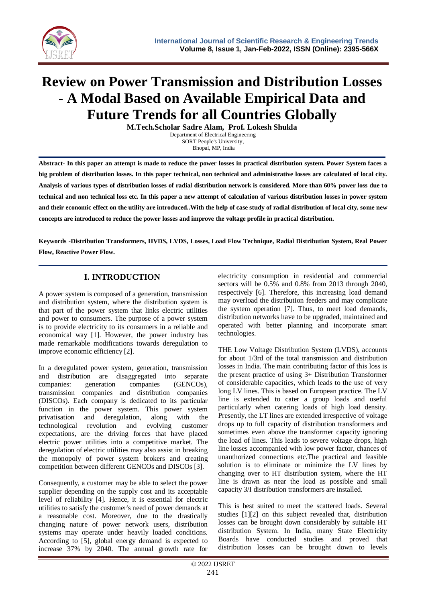

# **Review on Power Transmission and Distribution Losses - A Modal Based on Available Empirical Data and Future Trends for all Countries Globally**

**M.Tech.Scholar Sadre Alam, Prof. Lokesh Shukla**

Department of Electrical Engineering SORT People's University, Bhopal, MP, India

**Abstract- In this paper an attempt is made to reduce the power losses in practical distribution system. Power System faces a big problem of distribution losses. In this paper technical, non technical and administrative losses are calculated of local city. Analysis of various types of distribution losses of radial distribution network is considered. More than 60% power loss due to technical and non technical loss etc. In this paper a new attempt of calculation of various distribution losses in power system and their economic effect on the utility are introduced..With the help of case study of radial distribution of local city, some new concepts are introduced to reduce the power losses and improve the voltage profile in practical distribution.**

**Keywords -Distribution Transformers, HVDS, LVDS, Losses, Load Flow Technique, Radial Distribution System, Real Power Flow, Reactive Power Flow.**

## **I. INTRODUCTION**

A power system is composed of a generation, transmission and distribution system, where the distribution system is that part of the power system that links electric utilities and power to consumers. The purpose of a power system is to provide electricity to its consumers in a reliable and economical way [1]. However, the power industry has made remarkable modifications towards deregulation to improve economic efficiency [2].

In a deregulated power system, generation, transmission and distribution are disaggregated into separate companies: generation companies (GENCOs), transmission companies and distribution companies (DISCOs). Each company is dedicated to its particular function in the power system. This power system privatisation and deregulation, along with the technological revolution and evolving customer expectations, are the driving forces that have placed electric power utilities into a competitive market. The deregulation of electric utilities may also assist in breaking the monopoly of power system brokers and creating competition between different GENCOs and DISCOs [3].

Consequently, a customer may be able to select the power supplier depending on the supply cost and its acceptable level of reliability [4]. Hence, it is essential for electric utilities to satisfy the customer's need of power demands at a reasonable cost. Moreover, due to the drastically changing nature of power network users, distribution systems may operate under heavily loaded conditions. According to [5], global energy demand is expected to increase 37% by 2040. The annual growth rate for

electricity consumption in residential and commercial sectors will be 0.5% and 0.8% from 2013 through 2040, respectively [6]. Therefore, this increasing load demand may overload the distribution feeders and may complicate the system operation [7]. Thus, to meet load demands, distribution networks have to be upgraded, maintained and operated with better planning and incorporate smart technologies.

THE Low Voltage Distribution System (LVDS), accounts for about 1/3rd of the total transmission and distribution losses in India. The main contributing factor of this loss is the present practice of using 3+ Distribution Transformer of considerable capacities, which leads to the use of very long LV lines. This is based on European practice. The LV line is extended to cater a group loads and useful particularly when catering loads of high load density. Presently, the LT lines are extended irrespective of voltage drops up to full capacity of distribution transformers and sometimes even above the transformer capacity ignoring the load of lines. This leads to severe voltage drops, high line losses accompanied with low power factor, chances of unauthorized connections etc.The practical and feasible solution is to eliminate or minimize the LV lines by changing over to HT distribution system, where the HT line is drawn as near the load as possible and small capacity 3/I distribution transformers are installed.

This is best suited to meet the scattered loads. Several studies [1][2] on this subject revealed that, distribution losses can be brought down considerably by suitable HT distribution System. In India, many State Electricity Boards have conducted studies and proved that distribution losses can be brought down to levels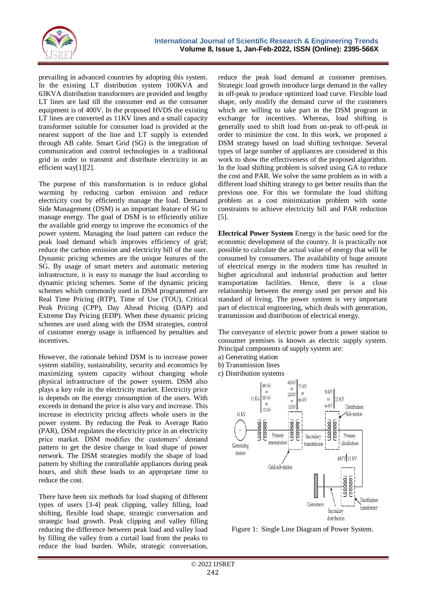

prevailing in advanced countries by adopting this system. In the existing LT distribution system 100KVA and 63KVA distribution transformers are provided and lengthy LT lines are laid till the consumer end as the consumer equipment is of 400V. In the proposed HVDS the existing LT lines are converted as 11KV lines and a small capacity transformer suitable for consumer load is provided at the nearest support of the line and LT supply is extended through AB cable. Smart Grid (SG) is the integration of communication and control technologies in a traditional grid in order to transmit and distribute electricity in an efficient way[1][2].

The purpose of this transformation is to reduce global warming by reducing carbon emission and reduce electricity cost by efficiently manage the load. Demand Side Management (DSM) is an important feature of SG to manage energy. The goal of DSM is to efficiently utilize the available grid energy to improve the economics of the power system. Managing the load pattern can reduce the peak load demand which improves efficiency of grid; reduce the carbon emission and electricity bill of the user. Dynamic pricing schemes are the unique features of the SG. By usage of smart meters and automatic metering infrastructure, it is easy to manage the load according to dynamic pricing schemes. Some of the dynamic pricing schemes which commonly used in DSM programmed are Real Time Pricing (RTP), Time of Use (TOU), Critical Peak Pricing (CPP), Day Ahead Pricing (DAP) and Extreme Day Pricing (EDP). When these dynamic pricing schemes are used along with the DSM strategies, control of customer energy usage is influenced by penalties and incentives.

However, the rationale behind DSM is to increase power system stability, sustainability, security and economics by maximizing system capacity without changing whole physical infrastructure of the power system. DSM also plays a key role in the electricity market. Electricity price is depends on the energy consumption of the users. With exceeds in demand the price is also vary and increase. This increase in electricity pricing affects whole users in the power system. By reducing the Peak to Average Ratio (PAR), DSM regulates the electricity price in an electricity price market. DSM modifies the customers' demand pattern to get the desire change in load shape of power network. The DSM strategies modify the shape of load pattern by shifting the controllable appliances during peak hours, and shift these loads to an appropriate time to reduce the cost.

There have been six methods for load shaping of different types of users [3-4] peak clipping, valley filling, load shifting, flexible load shape, strategic conversation and strategic load growth. Peak clipping and valley filling reducing the difference between peak load and valley load by filling the valley from a curtail load from the peaks to reduce the load burden. While, strategic conversation,

reduce the peak load demand at customer premises. Strategic load growth introduce large demand in the valley in off-peak to produce optimized load curve. Flexible load shape, only modify the demand curve of the customers which are willing to take part in the DSM program in exchange for incentives. Whereas, load shifting is generally used to shift load from on-peak to off-peak in order to minimize the cost. In this work, we proposed a DSM strategy based on load shifting technique. Several types of large number of appliances are considered in this work to show the effectiveness of the proposed algorithm. In the load shifting problem is solved using GA to reduce the cost and PAR. We solve the same problem as in with a different load shifting strategy to get better results than the previous one. For this we formulate the load shifting problem as a cost minimization problem with some constraints to achieve electricity bill and PAR reduction [5].

**Electrical Power System** Energy is the basic need for the economic development of the country. It is practically not possible to calculate the actual value of energy that will be consumed by consumers. The availability of huge amount of electrical energy in the modern time has resulted in higher agricultural and industrial production and better transportation facilities. Hence, there is a close relationship between the energy used per person and his standard of living. The power system is very important part of electrical engineering, which deals with generation, transmission and distribution of electrical energy.

The conveyance of electric power from a power station to consumer premises is known as electric supply system. Principal components of supply system are:

- a) Generating station
- b) Transmission lines
- c) Distribution systems



Figure 1: Single Line Diagram of Power System.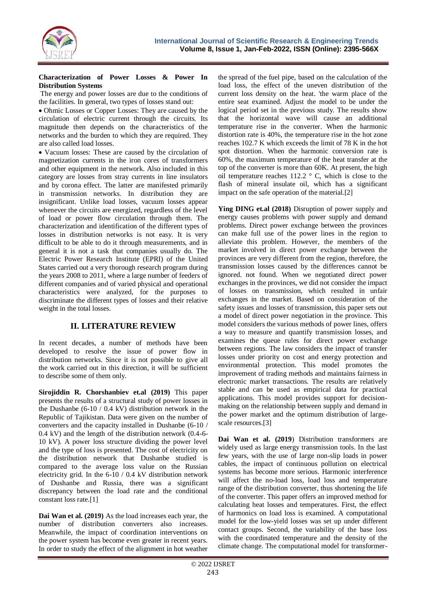

#### **Characterization of Power Losses & Power In Distribution Systems**

The energy and power losses are due to the conditions of the facilities. In general, two types of losses stand out:

 Ohmic Losses or Copper Losses: They are caused by the circulation of electric current through the circuits. Its magnitude then depends on the characteristics of the networks and the burden to which they are required. They are also called load losses.

 Vacuum losses: These are caused by the circulation of magnetization currents in the iron cores of transformers and other equipment in the network. Also included in this category are losses from stray currents in line insulators and by corona effect. The latter are manifested primarily in transmission networks. In distribution they are insignificant. Unlike load losses, vacuum losses appear whenever the circuits are energized, regardless of the level of load or power flow circulation through them. The characterization and identification of the different types of losses in distribution networks is not easy. It is very difficult to be able to do it through measurements, and in general it is not a task that companies usually do. The Electric Power Research Institute (EPRI) of the United States carried out a very thorough research program during the years 2008 to 2011, where a large number of feeders of different companies and of varied physical and operational characteristics were analyzed, for the purposes to discriminate the different types of losses and their relative weight in the total losses.

## **II. LITERATURE REVIEW**

In recent decades, a number of methods have been developed to resolve the issue of power flow in distribution networks. Since it is not possible to give all the work carried out in this direction, it will be sufficient to describe some of them only.

**Sirojiddin R. Chorshanbiev et.al (2019)** This paper presents the results of a structural study of power losses in the Dushanbe (6-10 / 0.4 kV) distribution network in the Republic of Tajikistan. Data were given on the number of converters and the capacity installed in Dushanbe (6-10 / 0.4 kV) and the length of the distribution network (0.4-6- 10 kV). A power loss structure dividing the power level and the type of loss is presented. The cost of electricity on the distribution network that Dushanbe studied is compared to the average loss value on the Russian electricity grid. In the 6-10 / 0.4 kV distribution network of Dushanbe and Russia, there was a significant discrepancy between the load rate and the conditional constant loss rate.[1]

**Dai Wan et al. (2019)** As the load increases each year, the number of distribution converters also increases. Meanwhile, the impact of coordination interventions on the power system has become even greater in recent years. In order to study the effect of the alignment in hot weather

the spread of the fuel pipe, based on the calculation of the load loss, the effect of the uneven distribution of the current loss density on the heat. 'the warm place of the entire seat examined. Adjust the model to be under the logical period set in the previous study. The results show that the horizontal wave will cause an additional temperature rise in the converter. When the harmonic distortion rate is 40%, the temperature rise in the hot zone reaches 102.7 K which exceeds the limit of 78 K in the hot spot distortion. When the harmonic conversion rate is 60%, the maximum temperature of the heat transfer at the top of the converter is more than 60K. At present, the high oil temperature reaches  $112.2 \degree$  C, which is close to the flash of mineral insulate oil, which has a significant impact on the safe operation of the material.[2]

**Ying DING et.al (2018)** Disruption of power supply and energy causes problems with power supply and demand problems. Direct power exchange between the provinces can make full use of the power lines in the region to alleviate this problem. However, the members of the market involved in direct power exchange between the provinces are very different from the region, therefore, the transmission losses caused by the differences cannot be ignored. not found. When we negotiated direct power exchanges in the provinces, we did not consider the impact of losses on transmission, which resulted in unfair exchanges in the market. Based on consideration of the safety issues and losses of transmission, this paper sets out a model of direct power negotiation in the province. This model considers the various methods of power lines, offers a way to measure and quantify transmission losses, and examines the queue rules for direct power exchange between regions. The law considers the impact of transfer losses under priority on cost and energy protection and environmental protection. This model promotes the improvement of trading methods and maintains fairness in electronic market transactions. The results are relatively stable and can be used as empirical data for practical applications. This model provides support for decisionmaking on the relationship between supply and demand in the power market and the optimum distribution of largescale resources.[3]

**Dai Wan et al. (2019**) Distribution transformers are widely used as large energy transmission tools. In the last few years, with the use of large non-slip loads in power cables, the impact of continuous pollution on electrical systems has become more serious. Harmonic interference will affect the no-load loss, load loss and temperature range of the distribution converter, thus shortening the life of the converter. This paper offers an improved method for calculating heat losses and temperatures. First, the effect of harmonics on load loss is examined. A computational model for the low-yield losses was set up under different contact groups. Second, the variability of the base loss with the coordinated temperature and the density of the climate change. The computational model for transformer-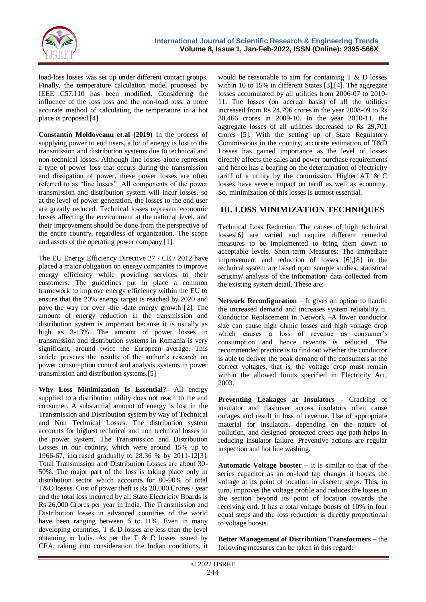

load-loss losses was set up under different contact groups. Finally, the temperature calculation model proposed by IEEE C57.110 has been modified. Considering the influence of the loss loss and the non-load loss, a more accurate method of calculating the temperature in a hot place is proposed.[4]

**Constantin Moldoveanu et.al (2019)** In the process of supplying power to end users, a lot of energy is lost to the transmission and distribution systems due to technical and non-technical losses. Although line losses alone represent a type of power loss that occurs during the transmission and dissipation of power, these power losses are often referred to as "line losses". All components of the power transmission and distribution system will incur losses, so at the level of power generation, the losses to the end user are greatly reduced. Technical losses represent economic losses affecting the environment at the national level, and their improvement should be done from the perspective of the entire country, regardless of organization. The scope and assets of the operating power company [1].

The EU Energy Efficiency Directive 27 / CE / 2012 have placed a major obligation on energy companies to improve energy efficiency while providing services to their customers. The guidelines put in place a common framework to improve energy efficiency within the EU to ensure that the 20% energy target is reached by 2020 and pave the way for over -the -date energy growth [2]. The amount of energy reduction in the transmission and distribution system is important because it is usually as high as 3-13%. The amount of power losses in transmission and distribution systems in Romania is very significant, around twice the European average. This article presents the results of the author's research on power consumption control and analysis systems in power transmission and distribution systems.[5]

**Why Loss Minimization Is Essential?-** All energy supplied to a distribution utility does not reach to the end consumer. A substantial amount of energy is lost in the Transmission and Distribution system by way of Technical and Non Technical Losses. The distribution system accounts for highest technical and non technical losses in the power system. The Transmission and Distribution Losses in our country, which were around 15% up to 1966-67, increased gradually to 28.36 % by 2011-12[3]. Total Transmission and Distribution Losses are about 30- 50%. The major part of the loss is taking place only in distribution sector which accounts for 80-90% of total T&D losses. Cost of power theft is Rs 20,000 Crores / year and the total loss incurred by all State Electricity Boards is Rs 26,000 Crores per year in India. The Transmission and Distribution losses in advanced countries of the world have been ranging between 6 to 11%. Even in many developing countries, T & D losses are less than the level obtaining in India. As per the T & D losses issued by CEA, taking into consideration the Indian conditions, it

would be reasonable to aim for containing T & D losses within 10 to 15% in different States [3],[4]. The aggregate losses accumulated by all utilities from 2006-07 to 2010- 11. The losses (on accrual basis) of all the utilities increased from Rs 24,796 crores in the year 2008-09 to Rs 30,466 crores in 2009-10. In the year 2010-11, the aggregate losses of all utilities decreased to Rs 29,701 crores [5]. With the setting up of State Regulatory Commissions in the country, accurate estimation of T&D Losses has gained importance as the level of losses directly affects the sales and power purchase requirements and hence has a bearing on the determination of electricity tariff of a utility by the commission. Higher AT & C losses have severe impact on tariff as well as economy. So, minimization of this losses is utmost essential.

### **III. LOSS MINIMIZATION TECHNIQUES**

Technical Loss Reduction The causes of high technical losses[6] are varied and require different remedial measures to be implemented to bring them down to acceptable levels. Short-term Measures: The immediate improvement and reduction of losses [6],[8] in the technical system are based upon sample studies, statistical scrutiny/ analysis of the information/ data collected from the existing system detail. These are:

**Network Reconfiguration** – It gives an option to handle the increased demand and increases system reliability ii. Conductor Replacement in Network –A lower conductor size can cause high ohmic losses and high voltage drop which causes a loss of revenue as consumer's consumption and hence revenue is reduced. The recommended practice is to find out whether the conductor is able to deliver the peak demand of the consumers at the correct voltages, that is, the voltage drop must remain within the allowed limits specified in Electricity Act, 2003.

**Preventing Leakages at Insulators** - Cracking of insulator and flashover across insulators often cause outages and result in loss of revenue. Use of appropriate material for insulators, depending on the nature of pollution, and designed protected creep age path helps in reducing insulator failure. Preventive actions are regular inspection and hot line washing.

**Automatic Voltage booster –** it is similar to that of the series capacitor as an on-load tap changer it boosts the voltage at its point of location in discrete steps. This, in turn, improves the voltage profile and reduces the losses in the section beyond its point of location towards the receiving end. It has a total voltage boosts of 10% in four equal steps and the loss reduction is directly proportional to voltage boosts.

**Better Management of Distribution Transformers** – the following measures can be taken in this regard: